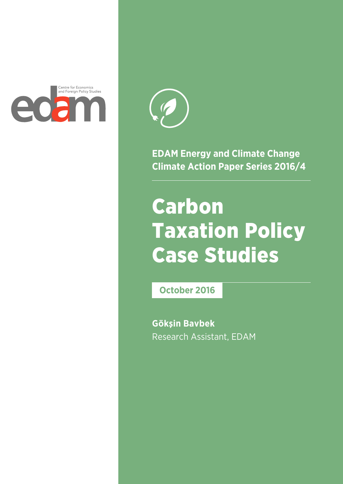



**EDAM Energy and Climate Change Climate Action Paper Series 2016/4**

# Carbon Taxation Policy Case Studies

**October 2016**

**Gökşin Bavbek** Research Assistant, EDAM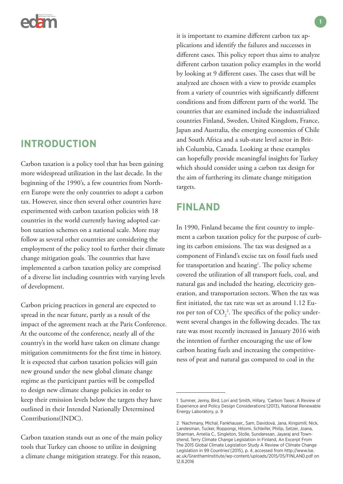

# **INTRODUCTION**

Carbon taxation is a policy tool that has been gaining more widespread utilization in the last decade. In the beginning of the 1990's, a few countries from Northern Europe were the only countries to adopt a carbon tax. However, since then several other countries have experimented with carbon taxation policies with 18 countries in the world currently having adopted carbon taxation schemes on a national scale. More may follow as several other countries are considering the employment of the policy tool to further their climate change mitigation goals. The countries that have implemented a carbon taxation policy are comprised of a diverse list including countries with varying levels of development.

Carbon pricing practices in general are expected to spread in the near future, partly as a result of the impact of the agreement reach at the Paris Conference. At the outcome of the conference, nearly all of the country's in the world have taken on climate change mitigation commitments for the first time in history. It is expected that carbon taxation policies will gain new ground under the new global climate change regime as the participant parties will be compelled to design new climate change policies in order to keep their emission levels below the targets they have outlined in their Intended Nationally Determined Contributions(INDC).

Carbon taxation stands out as one of the main policy tools that Turkey can choose to utilize in designing a climate change mitigation strategy. For this reason,

it is important to examine different carbon tax applications and identify the failures and successes in different cases. This policy report thus aims to analyze different carbon taxation policy examples in the world by looking at 9 different cases. The cases that will be analyzed are chosen with a view to provide examples from a variety of countries with significantly different conditions and from different parts of the world. The countries that are examined include the industrialized countries Finland, Sweden, United Kingdom, France, Japan and Australia, the emerging economies of Chile and South Africa and a sub-state level actor in British Columbia, Canada. Looking at these examples can hopefully provide meaningful insights for Turkey which should consider using a carbon tax design for the aim of furthering its climate change mitigation targets.

# **FINLAND**

In 1990, Finland became the first country to implement a carbon taxation policy for the purpose of curbing its carbon emissions. The tax was designed as a component of Finland's excise tax on fossil fuels used for transportation and heating<sup>1</sup>. The policy scheme covered the utilization of all transport fuels, coal, and natural gas and included the heating, electricity generation, and transportation sectors. When the tax was first initiated, the tax rate was set as around 1.12 Euros per ton of  $CO_2^2$ . The specifics of the policy underwent several changes in the following decades. The tax rate was most recently increased in January 2016 with the intention of further encouraging the use of low carbon heating fuels and increasing the competitiveness of peat and natural gas compared to coal in the

<sup>1</sup> Sumner, Jenny, Bird, Lori and Smith, Hillary, 'Carbon Taxes: A Review of Experience and Policy Design Considerations'(2013), National Renewable Energy Laboratory, p. 9

<sup>2 &#</sup>x27;Nachmany, Michal, Fankhauser,, Sam, Davidová, Jana, Kingsmill, Nick, Landesman, Tucker, Roppongi, Hitomi, Schleifer, Philip, Setzer, Joana, Sharman, Amelia C., Singleton, Stolle, Sundaresan, Jayaraj and Townshend, Terry Climate Change Legislation in Finland, An Excerpt From The 2015 Global Climate Legislation Study A Review of Climate Change Legislation in 99 Countries'(2015), p. 4, accessed from http://www.lse. ac.uk/GranthamInstitute/wp-content/uploads/2015/05/FINLAND.pdf on 12.8.2016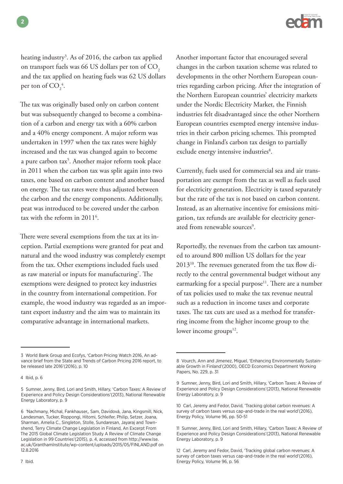

heating industry<sup>3</sup>. As of 2016, the carbon tax applied on transport fuels was 66 US dollars per ton of  $CO<sub>2</sub>$ and the tax applied on heating fuels was 62 US dollars per ton of  $CO<sub>2</sub><sup>4</sup>$ .

The tax was originally based only on carbon content but was subsequently changed to become a combination of a carbon and energy tax with a 60% carbon and a 40% energy component. A major reform was undertaken in 1997 when the tax rates were highly increased and the tax was changed again to become a pure carbon tax<sup>5</sup>. Another major reform took place in 2011 when the carbon tax was split again into two taxes, one based on carbon content and another based on energy. The tax rates were thus adjusted between the carbon and the energy components. Additionally, peat was introduced to be covered under the carbon tax with the reform in 2011<sup>6</sup>.

There were several exemptions from the tax at its inception. Partial exemptions were granted for peat and natural and the wood industry was completely exempt from the tax. Other exemptions included fuels used as raw material or inputs for manufacturing<sup>7</sup>. The exemptions were designed to protect key industries in the country from international competition. For example, the wood industry was regarded as an important export industry and the aim was to maintain its comparative advantage in international markets.

7 Ibid.

Another important factor that encouraged several changes in the carbon taxation scheme was related to developments in the other Northern European countries regarding carbon pricing. After the integration of the Northern European countries' electricity markets under the Nordic Electricity Market, the Finnish industries felt disadvantaged since the other Northern European countries exempted energy intensive industries in their carbon pricing schemes. This prompted change in Finland's carbon tax design to partially exclude energy intensive industries<sup>8</sup>.

Currently, fuels used for commercial sea and air transportation are exempt from the tax as well as fuels used for electricity generation. Electricity is taxed separately but the rate of the tax is not based on carbon content. Instead, as an alternative incentive for emissions mitigation, tax refunds are available for electricity generated from renewable sources<sup>9</sup>.

Reportedly, the revenues from the carbon tax amounted to around 800 million US dollars for the year 201310. The revenues generated from the tax flow directly to the central governmental budget without any earmarking for a special purpose<sup>11</sup>. There are a number of tax policies used to make the tax revenue neutral such as a reduction in income taxes and corporate taxes. The tax cuts are used as a method for transferring income from the higher income group to the lower income groups $12$ .

<sup>3</sup> World Bank Group and Ecofys, 'Carbon Pricing Watch 2016, An advance brief from the State and Trends of Carbon Pricing 2016 report, to be released late 2016'(2016), p. 10

<sup>4</sup> Ibid, p. 6

<sup>5</sup> Sumner, Jenny, Bird, Lori and Smith, Hillary, 'Carbon Taxes: A Review of Experience and Policy Design Considerations'(2013), National Renewable Energy Laboratory, p. 9

<sup>6 &#</sup>x27;Nachmany, Michal, Fankhauser,, Sam, Davidová, Jana, Kingsmill, Nick, Landesman, Tucker, Roppongi, Hitomi, Schleifer, Philip, Setzer, Joana, Sharman, Amelia C., Singleton, Stolle, Sundaresan, Jayaraj and Townshend, Terry Climate Change Legislation in Finland, An Excerpt From The 2015 Global Climate Legislation Study A Review of Climate Change Legislation in 99 Countries'(2015), p. 4, accessed from http://www.lse. ac.uk/GranthamInstitute/wp-content/uploads/2015/05/FINLAND.pdf on 12.8.2016

<sup>8</sup> Vourch, Ann and Jimenez, Miguel, 'Enhancing Environmentally Sustainable Growth in Finland'(2000), OECD Economics Department Working Papers, No. 229, p. 31

<sup>9</sup> Sumner, Jenny, Bird, Lori and Smith, Hillary, 'Carbon Taxes: A Review of Experience and Policy Design Considerations'(2013), National Renewable Energy Laboratory, p. 9

<sup>10</sup> Carl, Jeremy and Fedor, David, 'Tracking global carbon revenues: A survey of carbon taxes versus cap-and-trade in the real world'(2016), Energy Policy, Volume 96, pp. 50-51

<sup>11</sup> Sumner, Jenny, Bird, Lori and Smith, Hillary, 'Carbon Taxes: A Review of Experience and Policy Design Considerations'(2013), National Renewable Energy Laboratory, p. 9

<sup>12</sup> Carl, Jeremy and Fedor, David, 'Tracking global carbon revenues: A survey of carbon taxes versus cap-and-trade in the real world'(2016), Energy Policy, Volume 96, p. 56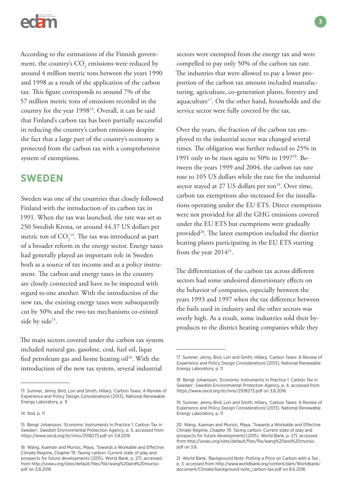

According to the estimations of the Finnish government, the country's  $\mathrm{CO}_2$  emissions were reduced by around 4 million metric tons between the years 1990 and 1998 as a result of the application of the carbon tax. This figure corresponds to around 7% of the 57 million metric tons of emissions recorded in the country for the year 199813. Overall, it can be said that Finland's carbon tax has been partially successful in reducing the country's carbon emissions despite the fact that a large part of the country's economy is protected from the carbon tax with a comprehensive system of exemptions.

# **SWEDEN**

Sweden was one of the countries that closely followed Finland with the introduction of its carbon tax in 1991. When the tax was launched, the rate was set as 250 Swedish Krona, or around 44.37 US dollars per metric ton of  $CO_2^{14}$ . The tax was introduced as part of a broader reform in the energy sector. Energy taxes had generally played an important role in Sweden both as a source of tax income and as a policy instrument. The carbon and energy taxes in the country are closely connected and have to be inspected with regard to one another. With the introduction of the new tax, the existing energy taxes were subsequently cut by 50% and the two tax mechanisms co-existed side by side<sup>15</sup>.

The main sectors covered under the carbon tax system included natural gas, gasoline, coal, fuel oil, lique fied petroleum gas and home heating oil<sup>16</sup>. With the introduction of the new tax system, several industrial

sectors were exempted from the energy tax and were compelled to pay only 50% of the carbon tax rate. The industries that were allowed to pay a lower proportion of the carbon tax amount included manufacturing, agriculture, co-generation plants, forestry and aquaculture17. On the other hand, households and the service sector were fully covered by the tax.

Over the years, the fraction of the carbon tax employed to the industrial sector was changed several times. The obligation was further reduced to 25% in 1991 only to be risen again to 50% in 1997 $18$ . Between the years 1999 and 2004, the carbon tax rate rose to 105 US dollars while the rate for the industrial sector stayed at 27 US dollars per ton<sup>19</sup>. Over time, carbon tax exemptions also increased for the installations operating under the EU ETS. Direct exemptions were not provided for all the GHG emissions covered under the EU ETS but exemptions were gradually provided<sup>20</sup>. The latest exemption included the district heating plants participating in the EU ETS starting from the year 2014<sup>21</sup>.

The differentiation of the carbon tax across different sectors had some undesired distortionary effects on the behavior of companies, especially between the years 1993 and 1997 when the tax difference between the fuels used in industry and the other sectors was overly high. As a result, some industries sold their byproducts to the district heating companies while they

<sup>13</sup> Sumner, Jenny, Bird, Lori and Smith, Hillary, 'Carbon Taxes: A Review of Experience and Policy Design Considerations'(2013), National Renewable Energy Laboratory, p. 9

<sup>14</sup> Ibid, p. 11

<sup>15</sup> Bengt Johansson, 'Economic Instruments in Practice 1: Carbon Tax in Sweden', Swedish Environmental Protection Agency, p. 3, accessed from https://www.oecd.org/sti/inno/2108273.pdf on 3.8.2016

<sup>16</sup> Wang, Xueman and Murisic, Maya, 'Towards a Workable and Effective Climate Regime, Chapter 19: Taxing carbon: Current state of play and prospects for future developments'(2015), World Bank, p. 271, accessed from http://voxeu.org/sites/default/files/file/wang%20and%20murisic. pdf on 3.8.2016

<sup>17</sup> Sumner, Jenny, Bird, Lori and Smith, Hillary, 'Carbon Taxes: A Review of Experience and Policy Design Considerations'(2013), National Renewable Energy Laboratory, p. 11

<sup>18</sup> Bengt Johansson, 'Economic Instruments in Practice 1: Carbon Tax in Sweden', Swedish Environmental Protection Agency, p. 4, accessed from https://www.oecd.org/sti/inno/2108273.pdf on 3.8.2016

<sup>19</sup> Sumner, Jenny, Bird, Lori and Smith, Hillary, 'Carbon Taxes: A Review of Experience and Policy Design Considerations'(2013), National Renewable Energy Laboratory, p. 11

<sup>20</sup> Wang, Xueman and Murisic, Maya, 'Towards a Workable and Effective Climate Regime, Chapter 19: Taxing carbon: Current state of play and prospects for future developments'(2015), World Bank, p. 271, accessed from http://voxeu.org/sites/default/files/file/wang%20and%20murisic. pdf on 3.8.

<sup>21</sup> World Bank, 'Background Note: Putting a Price on Carbon with a Tax', p. 3, accessed from http://www.worldbank.org/content/dam/Worldbank/ document/Climate/background-note\_carbon-tax.pdf on 8.6.2016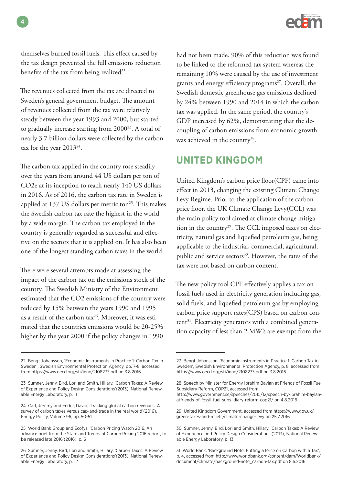

themselves burned fossil fuels. This effect caused by the tax design prevented the full emissions reduction benefits of the tax from being realized $22$ .

The revenues collected from the tax are directed to Sweden's general government budget. The amount of revenues collected from the tax were relatively steady between the year 1993 and 2000, but started to gradually increase starting from 2000<sup>23</sup>. A total of nearly 3.7 billion dollars were collected by the carbon tax for the year 201324.

The carbon tax applied in the country rose steadily over the years from around 44 US dollars per ton of CO2e at its inception to reach nearly 140 US dollars in 2016. As of 2016, the carbon tax rate in Sweden is applied at 137 US dollars per metric ton<sup>25</sup>. This makes the Swedish carbon tax rate the highest in the world by a wide margin. The carbon tax employed in the country is generally regarded as successful and effective on the sectors that it is applied on. It has also been one of the longest standing carbon taxes in the world.

There were several attempts made at assessing the impact of the carbon tax on the emissions stock of the country. The Swedish Ministry of the Environment estimated that the CO2 emissions of the country were reduced by 15% between the years 1990 and 1995 as a result of the carbon  $tax^{26}$ . Moreover, it was estimated that the countries emissions would be 20-25% higher by the year 2000 if the policy changes in 1990

had not been made. 90% of this reduction was found to be linked to the reformed tax system whereas the remaining 10% were caused by the use of investment grants and energy efficiency programs<sup>27</sup>. Overall, the Swedish domestic greenhouse gas emissions declined by 24% between 1990 and 2014 in which the carbon tax was applied. In the same period, the country's GDP increased by 62%, demonstrating that the decoupling of carbon emissions from economic growth was achieved in the country<sup>28</sup>.

# **UNITED KINGDOM**

United Kingdom's carbon price floor(CPF) came into effect in 2013, changing the existing Climate Change Levy Regime. Prior to the application of the carbon price floor, the UK Climate Change Levy(CCL) was the main policy tool aimed at climate change mitigation in the country<sup>29</sup>. The CCL imposed taxes on electricity, natural gas and liquefied petroleum gas, being applicable to the industrial, commercial, agricultural, public and service sectors<sup>30</sup>. However, the rates of the tax were not based on carbon content.

The new policy tool CPF effectively applies a tax on fossil fuels used in electricity generation including gas, solid fuels, and liquefied petroleum gas by employing carbon price support rates(CPS) based on carbon content<sup>31</sup>. Electricity generators with a combined generation capacity of less than 2 MW's are exempt from the

**4**

<sup>22</sup> Bengt Johansson, 'Economic Instruments in Practice 1: Carbon Tax in Sweden', Swedish Environmental Protection Agency, pp. 7-8, accessed from https://www.oecd.org/sti/inno/2108273.pdf on 3.8.2016

<sup>23</sup> Sumner, Jenny, Bird, Lori and Smith, Hillary, 'Carbon Taxes: A Review of Experience and Policy Design Considerations'(2013), National Renewable Energy Laboratory, p. 11

<sup>24</sup> Carl, Jeremy and Fedor, David, 'Tracking global carbon revenues: A survey of carbon taxes versus cap-and-trade in the real world'(2016), Energy Policy, Volume 96, pp. 50-51

<sup>25</sup> World Bank Group and Ecofys, 'Carbon Pricing Watch 2016, An advance brief from the State and Trends of Carbon Pricing 2016 report, to be released late 2016'(2016), p. 6

<sup>26</sup> Sumner, Jenny, Bird, Lori and Smith, Hillary, 'Carbon Taxes: A Review of Experience and Policy Design Considerations'(2013), National Renewable Energy Laboratory, p. 12

<sup>27</sup> Bengt Johansson, 'Economic Instruments in Practice 1: Carbon Tax in Sweden', Swedish Environmental Protection Agency, p. 8, accessed from https://www.oecd.org/sti/inno/2108273.pdf on 3.8.2016

<sup>28</sup> Speech by Minister for Energy Ibrahim Baylan at Friends of Fossil Fuel Subsidiary Reform, COP21, accessed from

http://www.government.se/speeches/2015/12/speech-by-ibrahim-baylanatfriends-of-fossil-fuel-subs idiary-reform-cop21/ on 4.8.2016

<sup>29</sup> United Kingdom Government, accessed from https://www.gov.uk/ green-taxes-and-reliefs/climate-change-levy on 25.7.2016

<sup>30</sup> Sumner, Jenny, Bird, Lori and Smith, Hillary, 'Carbon Taxes: A Review of Experience and Policy Design Considerations'(2013), National Renewable Energy Laboratory, p. 13

<sup>31</sup> World Bank, 'Background Note: Putting a Price on Carbon with a Tax', p. 4, accessed from http://www.worldbank.org/content/dam/Worldbank/ document/Climate/background-note\_carbon-tax.pdf on 8.6.2016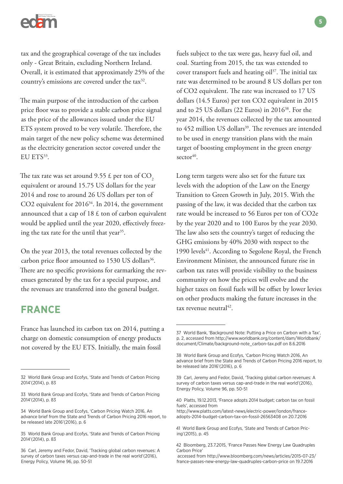

tax and the geographical coverage of the tax includes only - Great Britain, excluding Northern Ireland. Overall, it is estimated that approximately 25% of the country's emissions are covered under the tax<sup>32</sup>.

The main purpose of the introduction of the carbon price floor was to provide a stable carbon price signal as the price of the allowances issued under the EU ETS system proved to be very volatile. Therefore, the main target of the new policy scheme was determined as the electricity generation sector covered under the EU ETS<sup>33</sup>.

The tax rate was set around 9.55  $\text{\pounds}$  per ton of CO<sub>2</sub> equivalent or around 15.75 US dollars for the year 2014 and rose to around 26 US dollars per ton of CO2 equivalent for 2016<sup>34</sup>. In 2014, the government announced that a cap of  $18 \text{ } \text{\&}$  ton of carbon equivalent would be applied until the year 2020, effectively freezing the tax rate for the until that year $35$ .

On the year 2013, the total revenues collected by the carbon price floor amounted to 1530 US dollars<sup>36</sup>. There are no specific provisions for earmarking the revenues generated by the tax for a special purpose, and the revenues are transferred into the general budget.

# **FRANCE**

France has launched its carbon tax on 2014, putting a charge on domestic consumption of energy products not covered by the EU ETS. Initially, the main fossil

fuels subject to the tax were gas, heavy fuel oil, and coal. Starting from 2015, the tax was extended to cover transport fuels and heating  $\delta$ il<sup>37</sup>. The initial tax rate was determined to be around 8 US dollars per ton of CO2 equivalent. The rate was increased to 17 US dollars (14.5 Euros) per ton CO2 equivalent in 2015 and to 25 US dollars (22 Euros) in 201638. For the year 2014, the revenues collected by the tax amounted to 452 million US dollars<sup>39</sup>. The revenues are intended to be used in energy transition plans with the main target of boosting employment in the green energy  $\text{sector}^{40}$ 

Long term targets were also set for the future tax levels with the adoption of the Law on the Energy Transition to Green Growth in July, 2015. With the passing of the law, it was decided that the carbon tax rate would be increased to 56 Euros per ton of CO2e by the year 2020 and to 100 Euros by the year 2030. The law also sets the country's target of reducing the GHG emissions by 40% 2030 with respect to the 1990 levels<sup>41</sup>. According to Segolene Royal, the French Environment Minister, the announced future rise in carbon tax rates will provide visibility to the business community on how the prices will evolve and the higher taxes on fossil fuels will be offset by lower levies on other products making the future increases in the tax revenue neutral $^{42}$ .

<sup>32</sup> World Bank Group and Ecofys, 'State and Trends of Carbon Pricing 2014'(2014), p. 83

<sup>33</sup> World Bank Group and Ecofys, 'State and Trends of Carbon Pricing 2014'(2014), p. 83

<sup>34</sup> World Bank Group and Ecofys, 'Carbon Pricing Watch 2016, An advance brief from the State and Trends of Carbon Pricing 2016 report, to be released late 2016'(2016), p. 6

<sup>35</sup> World Bank Group and Ecofys, 'State and Trends of Carbon Pricing 2014'(2014), p. 83

<sup>36</sup> Carl, Jeremy and Fedor, David, 'Tracking global carbon revenues: A survey of carbon taxes versus cap-and-trade in the real world'(2016), Energy Policy, Volume 96, pp. 50-51

<sup>37</sup> World Bank, 'Background Note: Putting a Price on Carbon with a Tax', p. 2, accessed from http://www.worldbank.org/content/dam/Worldbank/ document/Climate/background-note\_carbon-tax.pdf on 8.6.2016

<sup>38</sup> World Bank Group and Ecofys, 'Carbon Pricing Watch 2016, An advance brief from the State and Trends of Carbon Pricing 2016 report, to be released late 2016'(2016), p. 6

<sup>39</sup> Carl, Jeremy and Fedor, David, 'Tracking global carbon revenues: A survey of carbon taxes versus cap-and-trade in the real world'(2016), Energy Policy, Volume 96, pp. 50-51

<sup>40</sup> Platts, 19.12.2013, 'France adopts 2014 budget; carbon tax on fossil fuels', accessed from

http://www.platts.com/latest-news/electric-power/london/franceadopts-2014-budget-carbon-tax-on-fossil-26563408 on 20.7.2016

<sup>41</sup> World Bank Group and Ecofys, 'State and Trends of Carbon Pricing'(2015), p. 45

<sup>42</sup> Bloomberg, 23.7.2015, 'France Passes New Energy Law Quadruples Carbon Price'

accessed from http://www.bloomberg.com/news/articles/2015-07-23/ france-passes-new-energy-law-quadruples-carbon-price on 19.7.2016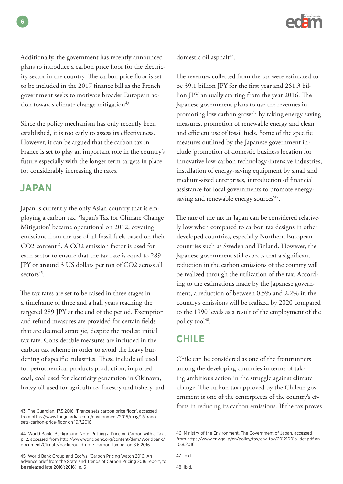

Additionally, the government has recently announced plans to introduce a carbon price floor for the electricity sector in the country. The carbon price floor is set to be included in the 2017 finance bill as the French government seeks to motivate broader European action towards climate change mitigation<sup>43</sup>.

Since the policy mechanism has only recently been established, it is too early to assess its effectiveness. However, it can be argued that the carbon tax in France is set to play an important role in the country's future especially with the longer term targets in place for considerably increasing the rates.

### **JAPAN**

Japan is currently the only Asian country that is employing a carbon tax. 'Japan's Tax for Climate Change Mitigation' became operational on 2012, covering emissions from the use of all fossil fuels based on their  $CO2$  content<sup>44</sup>. A  $CO2$  emission factor is used for each sector to ensure that the tax rate is equal to 289 JPY or around 3 US dollars per ton of CO2 across all  $sectors<sup>45</sup>$ .

The tax rates are set to be raised in three stages in a timeframe of three and a half years reaching the targeted 289 JPY at the end of the period. Exemption and refund measures are provided for certain fields that are deemed strategic, despite the modest initial tax rate. Considerable measures are included in the carbon tax scheme in order to avoid the heavy burdening of specific industries. These include oil used for petrochemical products production, imported coal, coal used for electricity generation in Okinawa, heavy oil used for agriculture, forestry and fishery and domestic oil asphalt<sup>46</sup>.

The revenues collected from the tax were estimated to be 39.1 billion JPY for the first year and 261.3 billion JPY annually starting from the year 2016. The Japanese government plans to use the revenues in promoting low carbon growth by taking energy saving measures, promotion of renewable energy and clean and efficient use of fossil fuels. Some of the specific measures outlined by the Japanese government include 'promotion of domestic business location for innovative low-carbon technology-intensive industries, installation of energy-saving equipment by small and medium-sized enterprises, introduction of financial assistance for local governments to promote energysaving and renewable energy sources<sup>'47</sup>.

The rate of the tax in Japan can be considered relatively low when compared to carbon tax designs in other developed countries, especially Northern European countries such as Sweden and Finland. However, the Japanese government still expects that a significant reduction in the carbon emissions of the country will be realized through the utilization of the tax. According to the estimations made by the Japanese government, a reduction of between 0,5% and 2,2% in the country's emissions will be realized by 2020 compared to the 1990 levels as a result of the employment of the policy tool<sup>48</sup>.

### **CHILE**

Chile can be considered as one of the frontrunners among the developing countries in terms of taking ambitious action in the struggle against climate change. The carbon tax approved by the Chilean government is one of the centerpieces of the country's efforts in reducing its carbon emissions. If the tax proves

<sup>43</sup> The Guardian, 17.5.2016, 'France sets carbon price floor', accessed from https://www.theguardian.com/environment/2016/may/17/francesets-carbon-price-floor on 19.7.2016

<sup>44</sup> World Bank, 'Background Note: Putting a Price on Carbon with a Tax', p. 2, accessed from http://www.worldbank.org/content/dam/Worldbank/ document/Climate/background-note\_carbon-tax.pdf on 8.6.2016

<sup>45</sup> World Bank Group and Ecofys, 'Carbon Pricing Watch 2016, An advance brief from the State and Trends of Carbon Pricing 2016 report, to be released late 2016'(2016), p. 6

<sup>46</sup> Ministry of the Environment, The Government of Japan, accessed from https://www.env.go.jp/en/policy/tax/env-tax/20121001a\_dct.pdf on 10.8.2016

<sup>47</sup> Ibid.

<sup>48</sup> Ibid.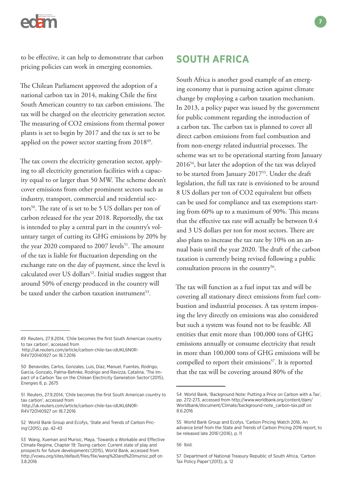

to be effective, it can help to demonstrate that carbon pricing policies can work in emerging economies.

The Chilean Parliament approved the adoption of a national carbon tax in 2014, making Chile the first South American country to tax carbon emissions. The tax will be charged on the electricity generation sector. The measuring of CO2 emissions from thermal power plants is set to begin by 2017 and the tax is set to be applied on the power sector starting from 2018<sup>49</sup>.

The tax covers the electricity generation sector, applying to all electricity generation facilities with a capacity equal to or larger than 50 MW. The scheme doesn't cover emissions from other prominent sectors such as industry, transport, commercial and residential sectors<sup>50</sup>. The rate of is set to be 5 US dollars per ton of carbon released for the year 2018. Reportedly, the tax is intended to play a central part in the country's voluntary target of cutting its GHG emissions by 20% by the year 2020 compared to 2007 levels<sup>51</sup>. The amount of the tax is liable for fluctuation depending on the exchange rate on the day of payment, since the level is calculated over US dollars<sup>52</sup>. Initial studies suggest that around 50% of energy produced in the country will be taxed under the carbon taxation instrument<sup>53</sup>.

 http://uk.reuters.com/article/carbon-chile-tax-idUKL6N0R-R4V720140927 on 18.7.2016

51 Reuters, 27.9.2014, 'Chile becomes the first South American country to tax carbon', accessed from http://uk.reuters.com/article/carbon-chile-tax-idUKL6N0R-R4V720140927 on 18.7.2016

# **SOUTH AFRICA**

South Africa is another good example of an emerging economy that is pursuing action against climate change by employing a carbon taxation mechanism. In 2013, a policy paper was issued by the government for public comment regarding the introduction of a carbon tax. The carbon tax is planned to cover all direct carbon emissions from fuel combustion and from non-energy related industrial processes. The scheme was set to be operational starting from January 201654, but later the adoption of the tax was delayed to be started from January 2017<sup>55</sup>. Under the draft legislation, the full tax rate is envisioned to be around 8 US dollars per ton of CO2 equivalent but offsets can be used for compliance and tax exemptions starting from 60% up to a maximum of 90%. This means that the effective tax rate will actually be between 0.4 and 3 US dollars per ton for most sectors. There are also plans to increase the tax rate by 10% on an annual basis until the year 2020. The draft of the carbon taxation is currently being revised following a public consultation process in the country<sup>56</sup>.

The tax will function as a fuel input tax and will be covering all stationary direct emissions from fuel combustion and industrial processes. A tax system imposing the levy directly on emissions was also considered but such a system was found not to be feasible. All entities that emit more than 100,000 tons of GHG emissions annually or consume electricity that result in more than 100,000 tons of GHG emissions will be compelled to report their emissions $57$ . It is reported that the tax will be covering around 80% of the

<sup>49</sup> Reuters, 27.9.2014, 'Chile becomes the first South American country to tax carbon', accessed from

<sup>50</sup> Benavides, Carlos, Gonzales, Luis, Diaz, Manuel, Fuentes, Rodrigo, Garcia, Gonzalo, Palma-Behnke, Rodrigo and Ravizza, Catalina, 'The Impact of a Carbon Tax on the Chilean Electricity Generation Sector'(2015), Energies 8, p. 2675

<sup>52</sup> World Bank Group and Ecofys, 'State and Trends of Carbon Pricing'(2015), pp. 42-43

<sup>53</sup> Wang, Xueman and Murisic, Maya, 'Towards a Workable and Effective Climate Regime, Chapter 19: Taxing carbon: Current state of play and prospects for future developments'(2015), World Bank, accessed from http://voxeu.org/sites/default/files/file/wang%20and%20murisic.pdf on 3.8.2016

<sup>54</sup> World Bank, 'Background Note: Putting a Price on Carbon with a Tax', pp. 272-273, accessed from http://www.worldbank.org/content/dam/ Worldbank/document/Climate/background-note\_carbon-tax.pdf on 8.6.2016

<sup>55</sup> World Bank Group and Ecofys, 'Carbon Pricing Watch 2016, An advance brief from the State and Trends of Carbon Pricing 2016 report, to be released late 2016'(2016), p. 11

<sup>56</sup> Ibid.

<sup>57</sup> Department of National Treasury Republic of South Africa, 'Carbon Tax Policy Paper'(2013), p. 12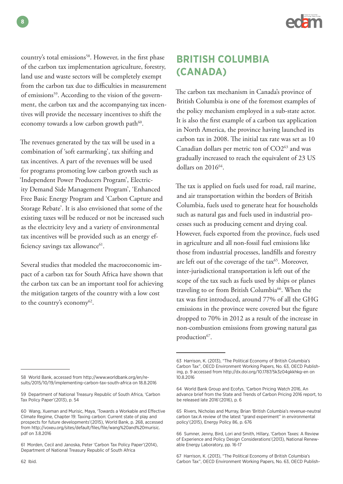

country's total emissions<sup>58</sup>. However, in the first phase of the carbon tax implementation agriculture, forestry, land use and waste sectors will be completely exempt from the carbon tax due to difficulties in measurement of emissions<sup>59</sup>. According to the vision of the government, the carbon tax and the accompanying tax incentives will provide the necessary incentives to shift the economy towards a low carbon growth path $60$ .

The revenues generated by the tax will be used in a combination of 'soft earmarking', tax shifting and tax incentives. A part of the revenues will be used for programs promoting low carbon growth such as 'Independent Power Producers Program', Electricity Demand Side Management Program', 'Enhanced Free Basic Energy Program and 'Carbon Capture and Storage Rebate'. It is also envisioned that some of the existing taxes will be reduced or not be increased such as the electricity levy and a variety of environmental tax incentives will be provided such as an energy efficiency savings tax allowance<sup>61</sup>.

Several studies that modeled the macroeconomic impact of a carbon tax for South Africa have shown that the carbon tax can be an important tool for achieving the mitigation targets of the country with a low cost to the country's economy<sup>62</sup>.

The carbon tax mechanism in Canada's province of British Columbia is one of the foremost examples of the policy mechanism employed in a sub-state actor. It is also the first example of a carbon tax application in North America, the province having launched its carbon tax in 2008. The initial tax rate was set as 10 Canadian dollars per metric ton of CO263 and was gradually increased to reach the equivalent of 23 US dollars on 201664.

The tax is applied on fuels used for road, rail marine, and air transportation within the borders of British Columbia, fuels used to generate heat for households such as natural gas and fuels used in industrial processes such as producing cement and drying coal. However, fuels exported from the province, fuels used in agriculture and all non-fossil fuel emissions like those from industrial processes, landfills and forestry are left out of the coverage of the tax<sup>65</sup>. Moreover, inter-jurisdictional transportation is left out of the scope of the tax such as fuels used by ships or planes traveling to or from British Columbia<sup>66</sup>. When the tax was first introduced, around 77% of all the GHG emissions in the province were covered but the figure dropped to 70% in 2012 as a result of the increase in non-combustion emissions from growing natural gas production<sup>67</sup>.

<sup>58</sup> World Bank, accessed from http://www.worldbank.org/en/results/2015/10/19/implementing-carbon-tax-south-africa on 18.8.2016

<sup>59</sup> Department of National Treasury Republic of South Africa, 'Carbon Tax Policy Paper'(2013), p. 54

<sup>60</sup> Wang, Xueman and Murisic, Maya, 'Towards a Workable and Effective Climate Regime, Chapter 19: Taxing carbon: Current state of play and prospects for future developments'(2015), World Bank, p. 268, accessed from http://voxeu.org/sites/default/files/file/wang%20and%20murisic. pdf on 3.8.2016

<sup>61</sup> Morden, Cecil and Janoska, Peter 'Carbon Tax Policy Paper'(2014), Department of National Treasury Republic of South Africa

<sup>63</sup> Harrison, K. (2013), "The Political Economy of British Columbia's Carbon Tax", OECD Environment Working Papers, No. 63, OECD Publishing, p. 9 accessed from http://dx.doi.org/10.1787/5k3z04gkkhkg-en on 10.8.2016

<sup>64</sup> World Bank Group and Ecofys, 'Carbon Pricing Watch 2016, An advance brief from the State and Trends of Carbon Pricing 2016 report, to be released late 2016'(2016), p. 6

<sup>65</sup> Rivers, Nicholas and Murray, Brian 'British Columbia's revenue-neutral carbon tax:A review of the latest "grand experiment" in environmental policy'(2015), Energy Policy 86, p. 676

<sup>66</sup> Sumner, Jenny, Bird, Lori and Smith, Hillary, 'Carbon Taxes: A Review of Experience and Policy Design Considerations'(2013), National Renewable Energy Laboratory, pp. 16-17

<sup>67</sup> Harrison, K. (2013), "The Political Economy of British Columbia's Carbon Tax", OECD Environment Working Papers, No. 63, OECD Publish-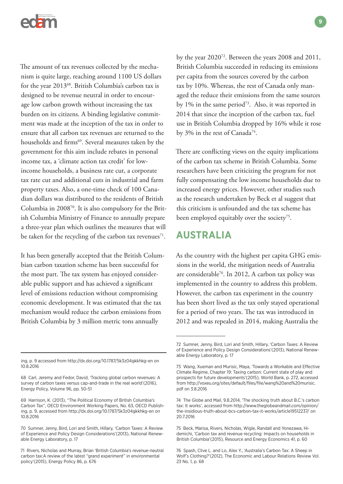

The amount of tax revenues collected by the mechanism is quite large, reaching around 1100 US dollars for the year 2013<sup>68</sup>. British Columbia's carbon tax is designed to be revenue neutral in order to encourage low carbon growth without increasing the tax burden on its citizens. A binding legislative commitment was made at the inception of the tax in order to ensure that all carbon tax revenues are returned to the households and firms<sup>69</sup>. Several measures taken by the government for this aim include rebates in personal income tax, a 'climate action tax credit' for lowincome households, a business rate cut, a corporate tax rate cut and additional cuts in industrial and farm property taxes. Also, a one-time check of 100 Canadian dollars was distributed to the residents of British Columbia in 200870. It is also compulsory for the British Columbia Ministry of Finance to annually prepare a three-year plan which outlines the measures that will be taken for the recycling of the carbon tax revenues<sup>71</sup>.

It has been generally accepted that the British Columbian carbon taxation scheme has been successful for the most part. The tax system has enjoyed considerable public support and has achieved a significant level of emissions reduction without compromising economic development. It was estimated that the tax mechanism would reduce the carbon emissions from British Columbia by 3 million metric tons annually

ing, p. 9 accessed from http://dx.doi.org/10.1787/5k3z04gkkhkg-en on 10.8.2016

by the year 202072. Between the years 2008 and 2011, British Columbia succeeded in reducing its emissions per capita from the sources covered by the carbon tax by 10%. Whereas, the rest of Canada only managed the reduce their emissions from the same sources by  $1\%$  in the same period<sup>73</sup>. Also, it was reported in 2014 that since the inception of the carbon tax, fuel use in British Columbia dropped by 16% while it rose by 3% in the rest of Canada<sup>74</sup>.

There are conflicting views on the equity implications of the carbon tax scheme in British Columbia. Some researchers have been criticizing the program for not fully compensating the low income households due to increased energy prices. However, other studies such as the research undertaken by Beck et al suggest that this criticism is unfounded and the tax scheme has been employed equitably over the society<sup>75</sup>.

# **AUSTRALIA**

As the country with the highest per capita GHG emissions in the world, the mitigation needs of Australia are considerable76. In 2012, A carbon tax policy was implemented in the country to address this problem. However, the carbon tax experiment in the country has been short lived as the tax only stayed operational for a period of two years. The tax was introduced in 2012 and was repealed in 2014, making Australia the

<sup>68</sup> Carl, Jeremy and Fedor, David, 'Tracking global carbon revenues: A survey of carbon taxes versus cap-and-trade in the real world'(2016), Energy Policy, Volume 96, pp. 50-51

<sup>69</sup> Harrison, K. (2013), "The Political Economy of British Columbia's Carbon Tax", OECD Environment Working Papers, No. 63, OECD Publishing, p. 9, accessed from http://dx.doi.org/10.1787/5k3z04gkkhkg-en on 10.8.2016

<sup>70</sup> Sumner, Jenny, Bird, Lori and Smith, Hillary, 'Carbon Taxes: A Review of Experience and Policy Design Considerations'(2013), National Renewable Energy Laboratory, p. 17

<sup>71</sup> Rivers, Nicholas and Murray, Brian 'British Columbia's revenue-neutral carbon tax:A review of the latest "grand experiment" in environmental policy'(2015), Energy Policy 86, p. 676

<sup>72</sup> Sumner, Jenny, Bird, Lori and Smith, Hillary, 'Carbon Taxes: A Review of Experience and Policy Design Considerations'(2013), National Renewable Energy Laboratory, p. 17

<sup>73</sup> Wang, Xueman and Murisic, Maya, 'Towards a Workable and Effective Climate Regime, Chapter 19: Taxing carbon: Current state of play and prospects for future developments'(2015), World Bank, p. 272, accessed from http://voxeu.org/sites/default/files/file/wang%20and%20murisic. pdf on 3.8.2016

<sup>74</sup> The Globe and Mail, 9.8.2014, 'The shocking truth about B.C.'s carbon tax: It works', accessed from http://www.theglobeandmail.com/opinion/ the-insidious-truth-about-bcs-carbon-tax-it-works/article19512237/ on 20.7.2016

<sup>75</sup> Beck, Marisa, Rivers, Nicholas, Wigle, Randall and Yonezawa, Hidemichi, 'Carbon tax and revenue recycling: Impacts on households in British Columbia'(2015), Resource and Energy Economics 41, p. 60

<sup>76</sup> Spash, Clive L. and Lo, Alex Y., 'Australia's Carbon Tax: A Sheep in Wolf's Clothing?'(2012), The Economic and Labour Relations Review Vol. 23 No. 1, p. 68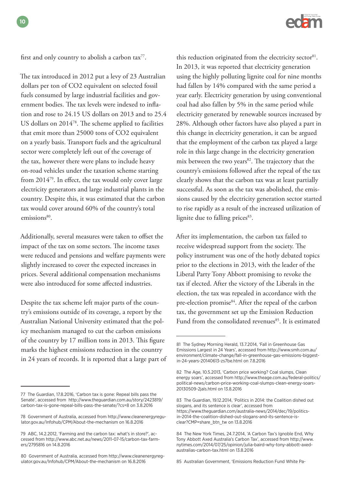

first and only country to abolish a carbon tax $^{77}$ .

The tax introduced in 2012 put a levy of 23 Australian dollars per ton of CO2 equivalent on selected fossil fuels consumed by large industrial facilities and government bodies. The tax levels were indexed to inflation and rose to 24.15 US dollars on 2013 and to 25.4 US dollars on 201478. The scheme applied to facilities that emit more than 25000 tons of CO2 equivalent on a yearly basis. Transport fuels and the agricultural sector were completely left out of the coverage of the tax, however there were plans to include heavy on-road vehicles under the taxation scheme starting from 201479. In effect, the tax would only cover large electricity generators and large industrial plants in the country. Despite this, it was estimated that the carbon tax would cover around 60% of the country's total emissions<sup>80</sup>.

Additionally, several measures were taken to offset the impact of the tax on some sectors. The income taxes were reduced and pensions and welfare payments were slightly increased to cover the expected increases in prices. Several additional compensation mechanisms were also introduced for some affected industries.

Despite the tax scheme left major parts of the country's emissions outside of its coverage, a report by the Australian National University estimated that the policy mechanism managed to cut the carbon emissions of the country by 17 million tons in 2013. This figure marks the highest emissions reduction in the country in 24 years of records. It is reported that a large part of

this reduction originated from the electricity sector $81$ . In 2013, it was reported that electricity generation using the highly polluting lignite coal for nine months had fallen by 14% compared with the same period a year early. Electricity generation by using conventional coal had also fallen by 5% in the same period while electricity generated by renewable sources increased by 28%. Although other factors have also played a part in this change in electricity generation, it can be argued that the employment of the carbon tax played a large role in this large change in the electricity generation mix between the two years<sup>82</sup>. The trajectory that the country's emissions followed after the repeal of the tax clearly shows that the carbon tax was at least partially successful. As soon as the tax was abolished, the emissions caused by the electricity generation sector started to rise rapidly as a result of the increased utilization of lignite due to falling prices<sup>83</sup>.

After its implementation, the carbon tax failed to receive widespread support from the society. The policy instrument was one of the hotly debated topics prior to the elections in 2013, with the leader of the Liberal Party Tony Abbott promising to revoke the tax if elected. After the victory of the Liberals in the election, the tax was repealed in accordance with the pre-election promise<sup>84</sup>. After the repeal of the carbon tax, the government set up the Emission Reduction Fund from the consolidated revenues<sup>85</sup>. It is estimated

85 Australian Government, 'Emissions Reduction Fund White Pa-

<sup>77</sup> The Guardian, 17.8.2016, 'Carbon tax is gone: Repeal bills pass the Senate', accessed from http://www.theguardian.com.au/story/2423819/ carbon-tax-is-gone-repeal-bills-pass-the-senate/?cs=8 on 3.8.2016

<sup>78</sup> Government of Australia, accessed from http://www.cleanenergyregulator.gov.au/Infohub/CPM/About-the-mechanism on 16.8.2016

<sup>79</sup> ABC, 14.2.2012, 'Farming and the carbon tax: what's in store?', accessed from http://www.abc.net.au/news/2011-07-15/carbon-tax-farmers/2795816 on 14.8.2016

<sup>80</sup> Government of Australia, accessed from http://www.cleanenergyregulator.gov.au/Infohub/CPM/About-the-mechanism on 16.8.2016

<sup>81</sup> The Sydney Morning Herald, 13.7.2014, 'Fall in Greenhouse Gas Emissions Largest in 24 Years', accessed from http://www.smh.com.au/ environment/climate-change/fall-in-greenhouse-gas-emissions-biggestin-24-years-20140613-zs7be.html on 7.8.2016

<sup>82</sup> The Age, 10.5.2013, 'Carbon price working? Coal slumps, Clean energy soars', accessed from http://www.theage.com.au/federal-politics/ political-news/carbon-price-working-coal-slumps-clean-energy-soars-20130509-2jals.html on 13.8.2016

<sup>83</sup> The Guardian, 19.12.2014, 'Politics in 2014: the Coalition dished out slogans, and its sentence is clear', accessed from https://www.theguardian.com/australia-news/2014/dec/19/politicsin-2014-the-coalition-dished-out-slogans-and-its-sentence-isclear?CMP=share\_btn\_tw on 13.8.2016

<sup>84</sup> The New York Times, 24.7.2014, 'A Carbon Tax's Ignoble End, Why Tony Abbott Axed Australia's Carbon Tax', accessed from http://www. nytimes.com/2014/07/25/opinion/julia-baird-why-tony-abbott-axedaustralias-carbon-tax.html on 13.8.2016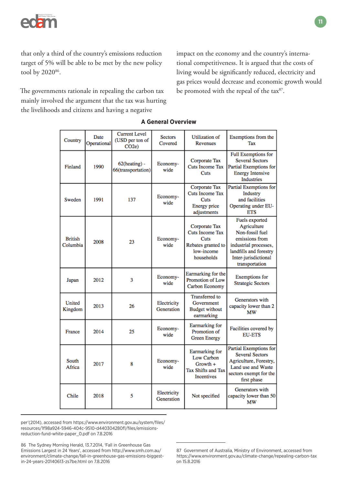

that only a third of the country's emissions reduction target of 5% will be able to be met by the new policy tool by 2020<sup>86</sup>.

The governments rationale in repealing the carbon tax mainly involved the argument that the tax was hurting the livelihoods and citizens and having a negative

impact on the economy and the country's international competitiveness. It is argued that the costs of living would be significantly reduced, electricity and gas prices would decrease and economic growth would be promoted with the repeal of the tax<sup>87</sup>.

| Country                    | Date<br>Operational | <b>Current Level</b><br>(USD per ton of<br>CO <sub>2e</sub> | <b>Sectors</b><br>Covered | <b>Utilization</b> of<br>Revenues                                                                 | Exemptions from the<br>Tax                                                                                                                                      |
|----------------------------|---------------------|-------------------------------------------------------------|---------------------------|---------------------------------------------------------------------------------------------------|-----------------------------------------------------------------------------------------------------------------------------------------------------------------|
| Finland                    | 1990                | $62$ (heating) -<br>66(transportation)                      | Economy-<br>wide          | Corporate Tax<br>Cuts Income Tax<br>Cuts                                                          | <b>Full Exemptions for</b><br><b>Several Sectors</b><br>Partial Exemptions for<br><b>Energy Intensive</b><br><b>Industries</b>                                  |
| Sweden                     | 1991                | 137                                                         | Economy-<br>wide          | Corporate Tax<br><b>Cuts Income Tax</b><br>Cuts<br>Energy price<br>adjustments                    | Partial Exemptions for<br>Industry<br>and facilities<br>Operating under EU-<br><b>ETS</b>                                                                       |
| <b>British</b><br>Columbia | 2008                | 23                                                          | Economy-<br>wide          | Corporate Tax<br><b>Cuts Income Tax</b><br>Cuts<br>Rebates granted to<br>low-income<br>households | Fuels exported<br>Agriculture<br>Non-fossil fuel<br>emissions from<br>industrial processes,<br>landfills and forestry<br>Inter-jurisdictional<br>transportation |
| Japan                      | 2012                | 3                                                           | Economy-<br>wide          | Earmarking for the<br><b>Promotion of Low</b><br>Carbon Economy                                   | <b>Exemptions</b> for<br><b>Strategic Sectors</b>                                                                                                               |
| United<br>Kingdom          | 2013                | 26                                                          | Electricity<br>Generation | <b>Transferred</b> to<br>Government<br><b>Budget without</b><br>earmarking                        | Generators with<br>capacity lower than 2<br>МW                                                                                                                  |
| France                     | 2014                | 25                                                          | Economy-<br>wide          | Earmarking for<br>Promotion of<br><b>Green Energy</b>                                             | Facilities covered by<br><b>EU-ETS</b>                                                                                                                          |
| South<br>Africa            | 2017                | 8                                                           | Economy-<br>wide          | Earmarking for<br>Low Carbon<br>$Growth +$<br>Tax Shifts and Tax<br><b>Incentives</b>             | Partial Exemptions for<br><b>Several Sectors</b><br>Agriculture, Forestry,<br>Land use and Waste<br>sectors exempt for the<br>first phase                       |
| Chile                      | 2018                | 5                                                           | Electricity<br>Generation | Not specified                                                                                     | Generators with<br>capacity lower than 50<br>МW                                                                                                                 |

#### **A General Overview**

per'(2014), accessed from https://www.environment.gov.au/system/files/ resources/1f98a924-5946-404c-9510-d440304280f1/files/emissionsreduction-fund-white-paper\_0.pdf on 7.8.2016

86 The Sydney Morning Herald, 13.7.2014, 'Fall in Greenhouse Gas Emissions Largest in 24 Years', accessed from http://www.smh.com.au/ environment/climate-change/fall-in-greenhouse-gas-emissions-biggestin-24-years-20140613-zs7be.html on 7.8.2016

<sup>87</sup> Government of Australia, Ministry of Environment, accessed from https://www.environment.gov.au/climate-change/repealing-carbon-tax on 15.8.2016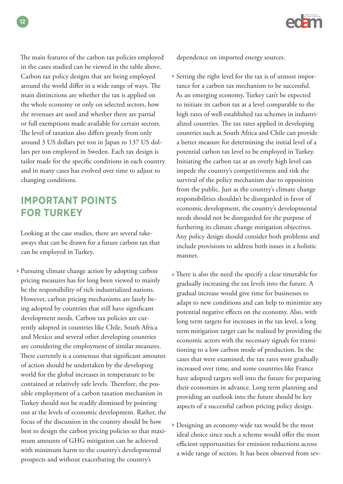The main features of the carbon tax policies employed in the cases studied can be viewed in the table above. Carbon tax policy designs that are being employed around the world differ in a wide range of ways. The main distinctions are whether the tax is applied on the whole economy or only on selected sectors, how the revenues are used and whether there are partial or full exemptions made available for certain sectors. The level of taxation also differs greatly from only around 3 US dollars per ton in Japan to 137 US dollars per ton employed in Sweden. Each tax design is tailor made for the specific conditions in each country and in many cases has evolved over time to adjust to changing conditions.

# **IMPORTANT POINTS FOR TURKEY**

Looking at the case studies, there are several takeaways that can be drawn for a future carbon tax that can be employed in Turkey.

Pursuing climate change action by adopting carbon pricing measures has for long been viewed to mainly be the responsibility of rich industrialized nations. However, carbon pricing mechanisms are lately being adopted by countries that still have significant development needs. Carbon tax policies are currently adopted in countries like Chile, South Africa and Mexico and several other developing countries are considering the employment of similar measures. There currently is a consensus that significant amounts of action should be undertaken by the developing world for the global increases in temperature to be contained at relatively safe levels. Therefore, the possible employment of a carbon taxation mechanism in Turkey should not be readily dismissed by pointing out at the levels of economic development. Rather, the focus of the discussion in the country should be how best to design the carbon pricing policies so that maximum amounts of GHG mitigation can be achieved with minimum harm to the country's developmental prospects and without exacerbating the country's

dependence on imported energy sources.

- Setting the right level for the tax is of utmost importance for a carbon tax mechanism to be successful. As an emerging economy, Turkey can't be expected to initiate its carbon tax at a level comparable to the high rates of well-established tax schemes in industrialized countries. The tax rates applied in developing countries such as South Africa and Chile can provide a better measure for determining the initial level of a potential carbon tax level to be employed in Turkey. Initiating the carbon tax at an overly high level can impede the country's competitiveness and risk the survival of the policy mechanism due to opposition from the public. Just as the country's climate change responsibilities shouldn't be disregarded in favor of economic development, the country's developmental needs should not be disregarded for the purpose of furthering its climate change mitigation objectives. Any policy design should consider both problems and include provisions to address both issues in a holistic manner.
- There is also the need the specify a clear timetable for gradually increasing the tax levels into the future. A gradual increase would give time for businesses to adapt to new conditions and can help to minimize any potential negative effects on the economy. Also, with long term targets for increases in the tax level, a long term mitigation target can be realized by providing the economic actors with the necessary signals for transitioning to a low carbon mode of production. In the cases that were examined, the tax rates were gradually increased over time, and some countries like France have adopted targets well into the future for preparing their economies in advance. Long term planning and providing an outlook into the future should be key aspects of a successful carbon pricing policy design.
- Designing an economy-wide tax would be the most ideal choice since such a scheme would offer the most efficient opportunities for emission reductions across a wide range of sectors. It has been observed from sev-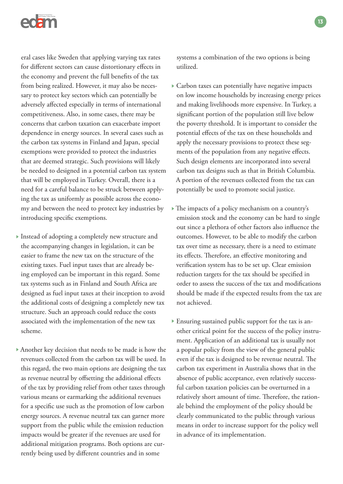

eral cases like Sweden that applying varying tax rates for different sectors can cause distortionary effects in the economy and prevent the full benefits of the tax from being realized. However, it may also be necessary to protect key sectors which can potentially be adversely affected especially in terms of international competitiveness. Also, in some cases, there may be concerns that carbon taxation can exacerbate import dependence in energy sources. In several cases such as the carbon tax systems in Finland and Japan, special exemptions were provided to protect the industries that are deemed strategic. Such provisions will likely be needed to designed in a potential carbon tax system that will be employed in Turkey. Overall, there is a need for a careful balance to be struck between applying the tax as uniformly as possible across the economy and between the need to protect key industries by introducing specific exemptions.

- Instead of adopting a completely new structure and the accompanying changes in legislation, it can be easier to frame the new tax on the structure of the existing taxes. Fuel input taxes that are already being employed can be important in this regard. Some tax systems such as in Finland and South Africa are designed as fuel input taxes at their inception to avoid the additional costs of designing a completely new tax structure. Such an approach could reduce the costs associated with the implementation of the new tax scheme.
- Another key decision that needs to be made is how the revenues collected from the carbon tax will be used. In this regard, the two main options are designing the tax as revenue neutral by offsetting the additional effects of the tax by providing relief from other taxes through various means or earmarking the additional revenues for a specific use such as the promotion of low carbon energy sources. A revenue neutral tax can garner more support from the public while the emission reduction impacts would be greater if the revenues are used for additional mitigation programs. Both options are currently being used by different countries and in some

systems a combination of the two options is being utilized.

- Carbon taxes can potentially have negative impacts on low income households by increasing energy prices and making livelihoods more expensive. In Turkey, a significant portion of the population still live below the poverty threshold. It is important to consider the potential effects of the tax on these households and apply the necessary provisions to protect these segments of the population from any negative effects. Such design elements are incorporated into several carbon tax designs such as that in British Columbia. A portion of the revenues collected from the tax can potentially be used to promote social justice.
- The impacts of a policy mechanism on a country's emission stock and the economy can be hard to single out since a plethora of other factors also influence the outcomes. However, to be able to modify the carbon tax over time as necessary, there is a need to estimate its effects. Therefore, an effective monitoring and verification system has to be set up. Clear emission reduction targets for the tax should be specified in order to assess the success of the tax and modifications should be made if the expected results from the tax are not achieved.
- Ensuring sustained public support for the tax is another critical point for the success of the policy instrument. Application of an additional tax is usually not a popular policy from the view of the general public even if the tax is designed to be revenue neutral. The carbon tax experiment in Australia shows that in the absence of public acceptance, even relatively successful carbon taxation policies can be overturned in a relatively short amount of time. Therefore, the rationale behind the employment of the policy should be clearly communicated to the public through various means in order to increase support for the policy well in advance of its implementation.